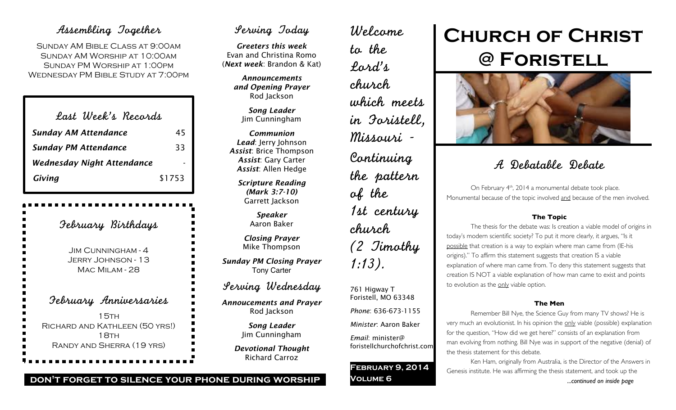# Assembling Together

Sunday AM Bible Class at 9:00am Sunday AM Worship at 10:00am Sunday PM Worship at 1:00pm Wednesday PM Bible Study at 7:00pm

| Last Week's Records               |        |
|-----------------------------------|--------|
| <b>Sunday AM Attendance</b>       | 45     |
| <b>Sunday PM Attendance</b>       | 33     |
| <b>Wednesday Night Attendance</b> |        |
| Giving                            | \$1753 |

February Birthdays Jim Cunningham - 4 Jerry Johnson - 13 Mac Milam - 28 February Anniversaries  $15TH$ Richard and Kathleen (50 yrs!) 18TH Randy and Sherra (19 yrs)

# Serving Today

*Greeters this week* Evan and Christina Romo (*Next week*: Brandon & Kat)

*Announcements and Opening Prayer* Rod Jackson

> *Song Leader* Jim Cunningham

*Communion Lead*: Jerry Johnson *Assist*: Brice Thompson *Assist*: Gary Carter *Assist*: Allen Hedge

> *Scripture Reading (Mark 3:7-10)* Garrett Jackson

> > *Speaker* Aaron Baker

*Closing Prayer* Mike Thompson

*Sunday PM Closing Prayer* Tony Carter

Serving Wednesday

*Annoucements and Prayer* Rod Jackson

> *Song Leader* Jim Cunningham

*Devotional Thought* Richard Carroz

Welcome to the Lord's church which meets in Foristell, Missouri - Continuing the pattern of the 1st century church (2 Timothy 1:13).

761 Higway T Foristell, MO 63348 *Phone*: 636-673-1155 *Minister*: Aaron Baker

*Email*: minister@ foristellchurchofchrist.com

**February 9, 2014 Volume 6**

# **Church of Christ @ Foristell**



# A Debatable Debate

On February 4<sup>th</sup>, 2014 a monumental debate took place. Monumental because of the topic involved and because of the men involved.

# **The Topic**

The thesis for the debate was: Is creation a viable model of origins in today's modern scientific society? To put it more clearly, it argues, "Is it possible that creation is a way to explain where man came from (IE-his origins)." To affirm this statement suggests that creation IS a viable explanation of where man came from. To deny this statement suggests that creation IS NOT a viable explanation of how man came to exist and points to evolution as the only viable option.

# **The Men**

Remember Bill Nye, the Science Guy from many TV shows? He is very much an evolutionist. In his opinion the only viable (possible) explanation for the question, "How did we get here?" consists of an explanation from man evolving from nothing. Bill Nye was in support of the negative (denial) of the thesis statement for this debate.

Ken Ham, originally from Australia, is the Director of the Answers in Genesis institute. He was affirming the thesis statement, and took up the *...continued on inside page*

**don't forget to silence your phone during worship**